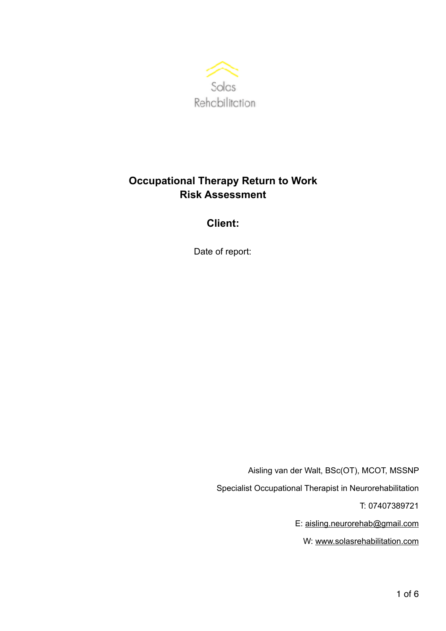

# **Occupational Therapy Return to Work Risk Assessment**

# **Client:**

Date of report:

Aisling van der Walt, BSc(OT), MCOT, MSSNP Specialist Occupational Therapist in Neurorehabilitation T: 07407389721 E: [aisling.neurorehab@gmail.com](mailto:aisling.neurorehab@gmail.com) W: [www.solasrehabilitation.com](http://www.solasrehabilitation.com)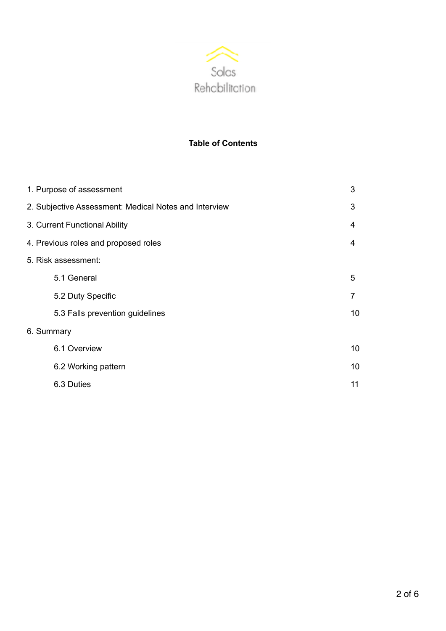

# **Table of Contents**

| 1. Purpose of assessment                              | 3               |
|-------------------------------------------------------|-----------------|
| 2. Subjective Assessment: Medical Notes and Interview | 3               |
| 3. Current Functional Ability                         | 4               |
| 4. Previous roles and proposed roles                  | 4               |
| 5. Risk assessment:                                   |                 |
| 5.1 General                                           | 5               |
| 5.2 Duty Specific                                     | 7               |
| 5.3 Falls prevention guidelines                       | 10 <sup>1</sup> |
| 6. Summary                                            |                 |
| 6.1 Overview                                          | 10              |
| 6.2 Working pattern                                   | 10              |
| 6.3 Duties                                            | 11              |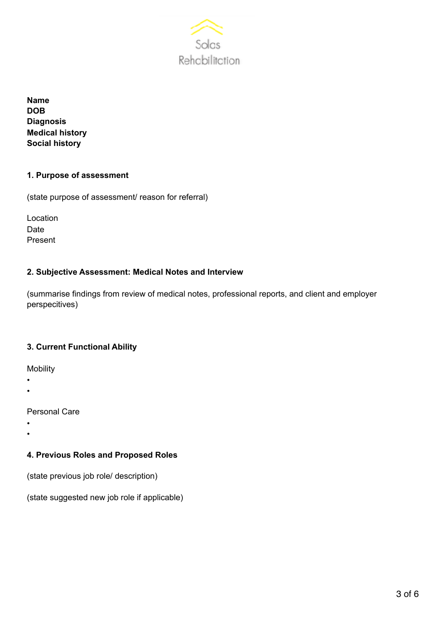

**Name DOB Diagnosis Medical history Social history** 

#### **1. Purpose of assessment**

(state purpose of assessment/ reason for referral)

Location Date Present

#### **2. Subjective Assessment: Medical Notes and Interview**

(summarise findings from review of medical notes, professional reports, and client and employer perspecitives)

#### **3. Current Functional Ability**

Mobility

- •
- •

Personal Care

- •
- •

#### **4. Previous Roles and Proposed Roles**

(state previous job role/ description)

(state suggested new job role if applicable)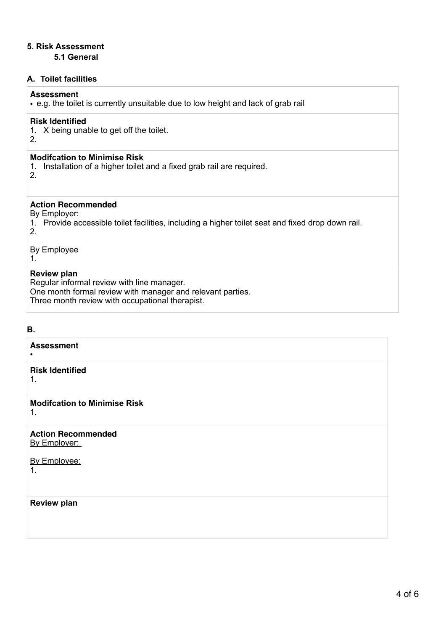# **5. Risk Assessment**

#### **5.1 General**

## **A. Toilet facilities**

## **Assessment**

• e.g. the toilet is currently unsuitable due to low height and lack of grab rail

#### **Risk Identified**

1. X being unable to get off the toilet.

#### 2.

#### **Modifcation to Minimise Risk**

- 1. Installation of a higher toilet and a fixed grab rail are required.
- 2.

## **Action Recommended**

By Employer:

1. Provide accessible toilet facilities, including a higher toilet seat and fixed drop down rail. 2.

By Employee

1.

#### **Review plan**

Regular informal review with line manager. One month formal review with manager and relevant parties. Three month review with occupational therapist.

#### **B.**

| <b>Assessment</b>                         |
|-------------------------------------------|
| <b>Risk Identified</b><br>1.              |
| <b>Modifcation to Minimise Risk</b><br>1. |
| <b>Action Recommended</b><br>By Employer: |
| By Employee:<br>1.                        |
| <b>Review plan</b>                        |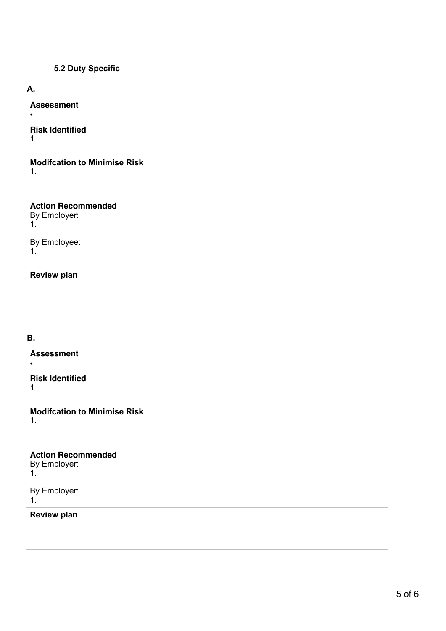# **5.2 Duty Specific**

#### **A.**

| <b>Assessment</b>                                     |
|-------------------------------------------------------|
| <b>Risk Identified</b><br>1.                          |
| <b>Modifcation to Minimise Risk</b><br>1 <sub>1</sub> |
| <b>Action Recommended</b><br>By Employer:<br>1.       |
| By Employee:<br>1 <sub>1</sub>                        |
| <b>Review plan</b>                                    |

### **B.**

| <b>Assessment</b><br>٠                          |
|-------------------------------------------------|
| <b>Risk Identified</b><br>1.                    |
| <b>Modifcation to Minimise Risk</b><br>1.       |
| <b>Action Recommended</b><br>By Employer:<br>1. |
| By Employer:<br>1.                              |
| <b>Review plan</b>                              |